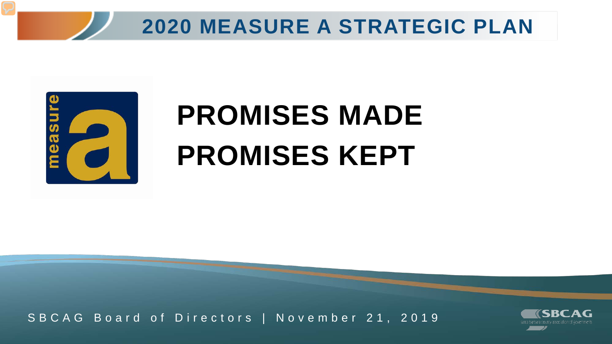



## **PROMISES MADE PROMISES KEPT**

SBCAG Board of Directors | November 21, 2019

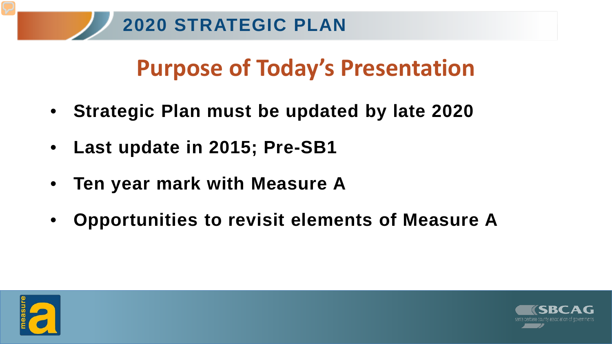#### **Purpose of Today's Presentation**

- **Strategic Plan must be updated by late 2020**
- **Last update in 2015; Pre-SB1**
- **Ten year mark with Measure A**
- **Opportunities to revisit elements of Measure A**



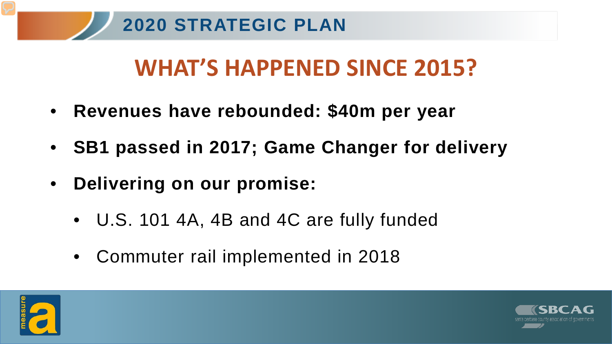### **WHAT'S HAPPENED SINCE 2015?**

- **Revenues have rebounded: \$40m per year**
- **SB1 passed in 2017; Game Changer for delivery**
- **Delivering on our promise:**
	- U.S. 101 4A, 4B and 4C are fully funded
	- Commuter rail implemented in 2018



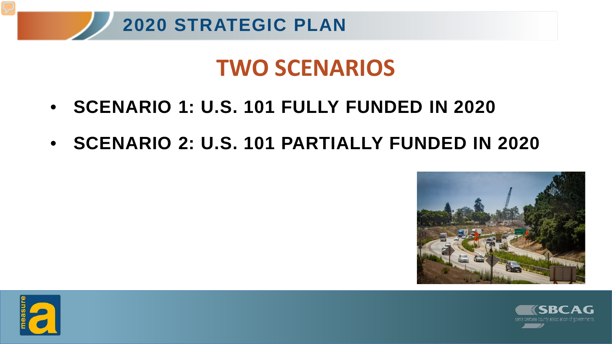

#### **TWO SCENARIOS**

- **SCENARIO 1: U.S. 101 FULLY FUNDED IN 2020**
- **SCENARIO 2: U.S. 101 PARTIALLY FUNDED IN 2020**





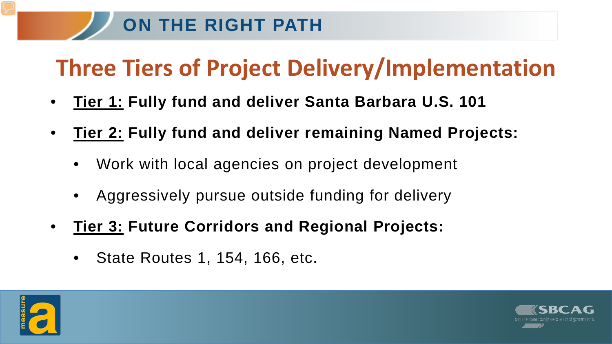#### **ON THE RIGHT PATH**

#### **Three Tiers of Project Delivery/Implementation**

- **Tier 1: Fully fund and deliver Santa Barbara U.S. 101**
- **Tier 2: Fully fund and deliver remaining Named Projects:**
	- Work with local agencies on project development
	- Aggressively pursue outside funding for delivery
- **Tier 3: Future Corridors and Regional Projects:**
	- State Routes 1, 154, 166, etc.



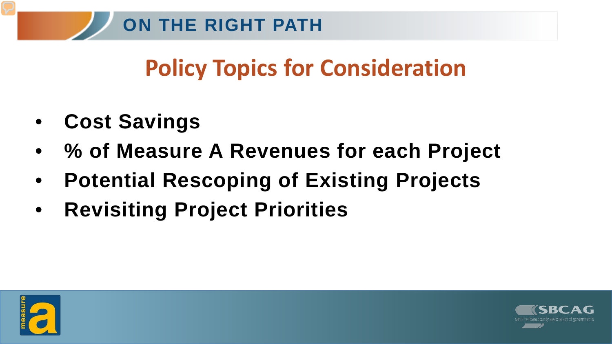#### **Policy Topics for Consideration**

- **Cost Savings**
- **% of Measure A Revenues for each Project**
- **Potential Rescoping of Existing Projects**
- **Revisiting Project Priorities**



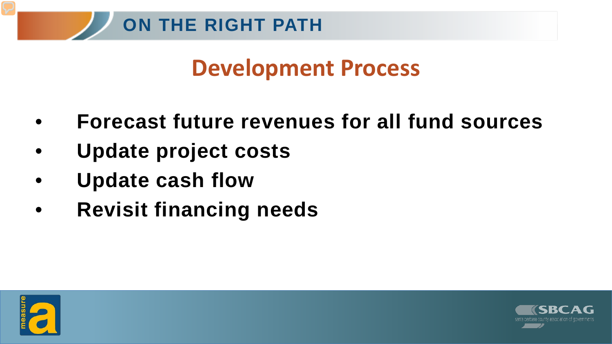#### **Development Process**

- **Forecast future revenues for all fund sources**
- **Update project costs**
- **Update cash flow**
- **Revisit financing needs**



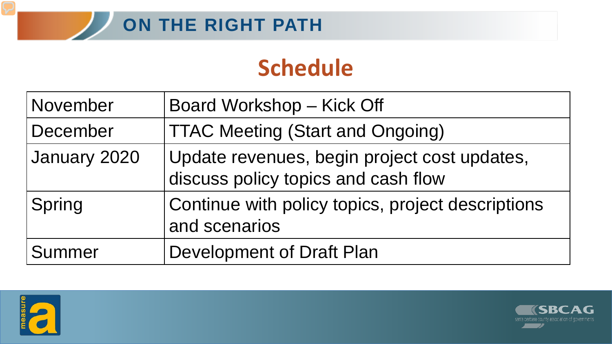#### **Schedule**

| November     | Board Workshop - Kick Off                                                           |
|--------------|-------------------------------------------------------------------------------------|
| December     | <b>TTAC Meeting (Start and Ongoing)</b>                                             |
| January 2020 | Update revenues, begin project cost updates,<br>discuss policy topics and cash flow |
| Spring       | Continue with policy topics, project descriptions<br>and scenarios                  |
| Summer       | Development of Draft Plan                                                           |



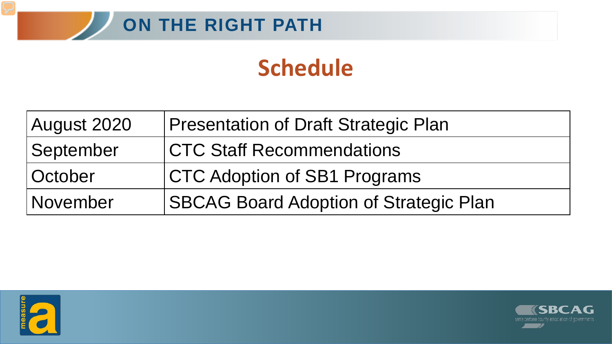

#### **Schedule**

| August 2020    | <b>Presentation of Draft Strategic Plan</b>   |
|----------------|-----------------------------------------------|
| September      | <b>CTC Staff Recommendations</b>              |
| <b>October</b> | <b>CTC Adoption of SB1 Programs</b>           |
| November       | <b>SBCAG Board Adoption of Strategic Plan</b> |



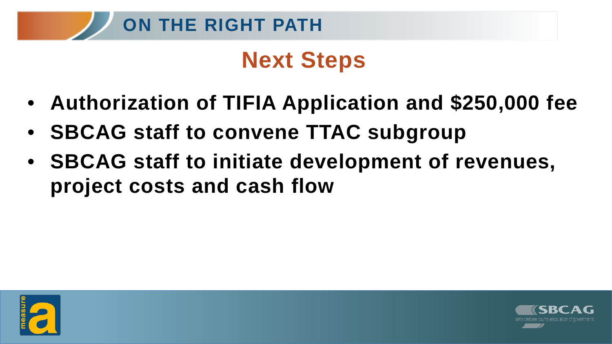

#### **Next Steps**

- **Authorization of TIFIA Application and \$250,000 fee**
- **SBCAG staff to convene TTAC subgroup**
- **SBCAG staff to initiate development of revenues, project costs and cash flow**